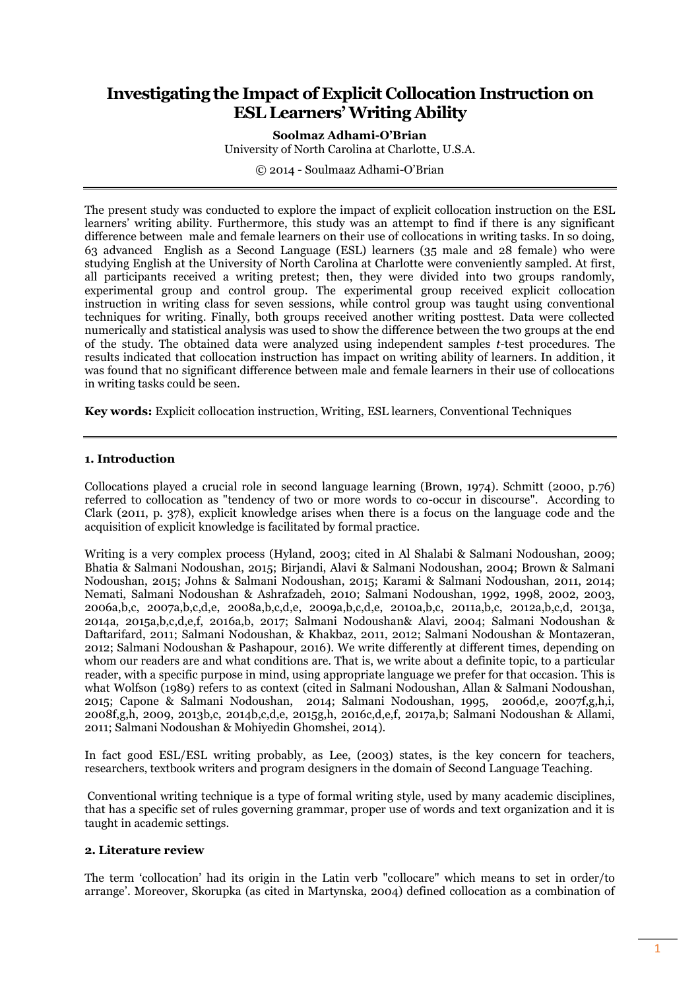# **Investigating the Impact of Explicit Collocation Instruction on ESL Learners' Writing Ability**

# **Soolmaz Adhami-O'Brian**

University of North Carolina at Charlotte, U.S.A.

© 2014 - Soulmaaz Adhami-O'Brian

The present study was conducted to explore the impact of explicit collocation instruction on the ESL learners' writing ability. Furthermore, this study was an attempt to find if there is any significant difference between male and female learners on their use of collocations in writing tasks. In so doing, 63 advanced English as a Second Language (ESL) learners (35 male and 28 female) who were studying English at the University of North Carolina at Charlotte were conveniently sampled. At first, all participants received a writing pretest; then, they were divided into two groups randomly, experimental group and control group. The experimental group received explicit collocation instruction in writing class for seven sessions, while control group was taught using conventional techniques for writing. Finally, both groups received another writing posttest. Data were collected numerically and statistical analysis was used to show the difference between the two groups at the end of the study. The obtained data were analyzed using independent samples *t*-test procedures. The results indicated that collocation instruction has impact on writing ability of learners. In addition, it was found that no significant difference between male and female learners in their use of collocations in writing tasks could be seen.

**Key words:** Explicit collocation instruction, Writing, ESL learners, Conventional Techniques

## **1. Introduction**

Collocations played a crucial role in second language learning (Brown, 1974). Schmitt (2000, p.76) referred to collocation as "tendency of two or more words to co-occur in discourse". According to Clark (2011, p. 378), explicit knowledge arises when there is a focus on the language code and the acquisition of explicit knowledge is facilitated by formal practice.

Writing is a very complex process (Hyland, 2003; cited in Al Shalabi & Salmani Nodoushan, 2009; Bhatia & Salmani Nodoushan, 2015; Birjandi, Alavi & Salmani Nodoushan, 2004; Brown & Salmani Nodoushan, 2015; Johns & Salmani Nodoushan, 2015; Karami & Salmani Nodoushan, 2011, 2014; Nemati, Salmani Nodoushan & Ashrafzadeh, 2010; Salmani Nodoushan, 1992, 1998, 2002, 2003, 2006a,b,c, 2007a,b,c,d,e, 2008a,b,c,d,e, 2009a,b,c,d,e, 2010a,b,c, 2011a,b,c, 2012a,b,c,d, 2013a, 2014a, 2015a,b,c,d,e,f, 2016a,b, 2017; Salmani Nodoushan& Alavi, 2004; Salmani Nodoushan & Daftarifard, 2011; Salmani Nodoushan, & Khakbaz, 2011, 2012; Salmani Nodoushan & Montazeran, 2012; Salmani Nodoushan & Pashapour, 2016). We write differently at different times, depending on whom our readers are and what conditions are. That is, we write about a definite topic, to a particular reader, with a specific purpose in mind, using appropriate language we prefer for that occasion. This is what Wolfson (1989) refers to as context (cited in Salmani Nodoushan, Allan & Salmani Nodoushan, 2015; Capone & Salmani Nodoushan, 2014; Salmani Nodoushan, 1995, 2006d,e, 2007f,g,h,i, 2008f,g,h, 2009, 2013b,c, 2014b,c,d,e, 2015g,h, 2016c,d,e,f, 2017a,b; Salmani Nodoushan & Allami, 2011; Salmani Nodoushan & Mohiyedin Ghomshei, 2014).

In fact good ESL/ESL writing probably, as Lee, (2003) states, is the key concern for teachers, researchers, textbook writers and program designers in the domain of Second Language Teaching.

Conventional writing technique is a type of formal writing style, used by many academic disciplines, that has a specific set of rules governing grammar, proper use of words and text organization and it is taught in academic settings.

### **2. Literature review**

The term 'collocation' had its origin in the Latin verb "collocare" which means to set in order/to arrange'. Moreover, Skorupka (as cited in Martynska, 2004) defined collocation as a combination of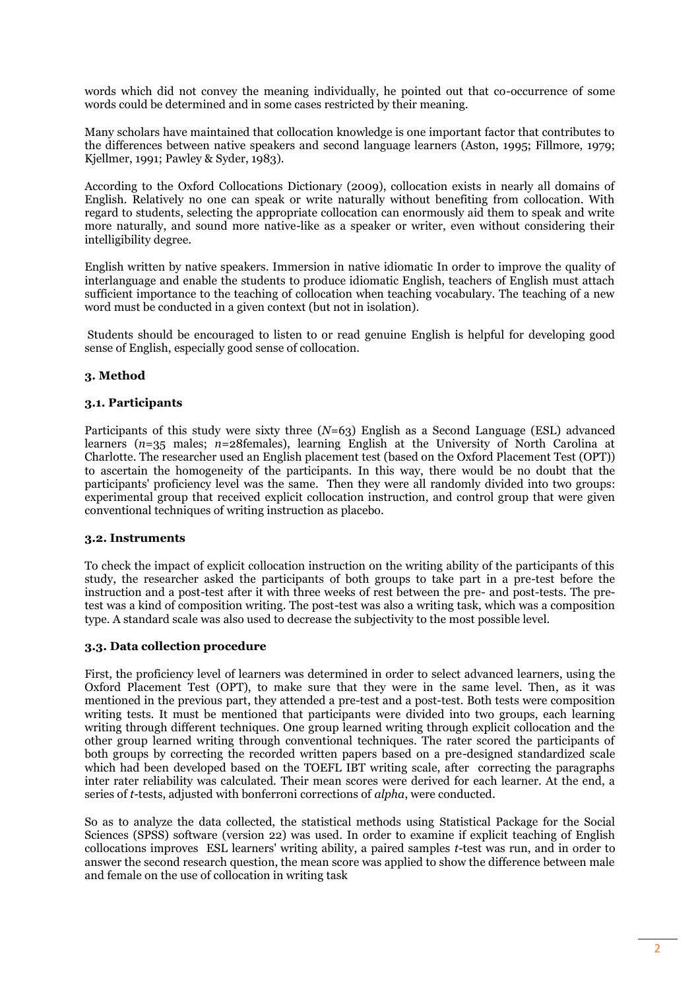words which did not convey the meaning individually, he pointed out that co-occurrence of some words could be determined and in some cases restricted by their meaning.

Many scholars have maintained that collocation knowledge is one important factor that contributes to the differences between native speakers and second language learners (Aston, 1995; Fillmore, 1979; Kjellmer, 1991; Pawley & Syder, 1983).

According to the Oxford Collocations Dictionary (2009), collocation exists in nearly all domains of English. Relatively no one can speak or write naturally without benefiting from collocation. With regard to students, selecting the appropriate collocation can enormously aid them to speak and write more naturally, and sound more native-like as a speaker or writer, even without considering their intelligibility degree.

English written by native speakers. Immersion in native idiomatic In order to improve the quality of interlanguage and enable the students to produce idiomatic English, teachers of English must attach sufficient importance to the teaching of collocation when teaching vocabulary. The teaching of a new word must be conducted in a given context (but not in isolation).

Students should be encouraged to listen to or read genuine English is helpful for developing good sense of English, especially good sense of collocation.

# **3. Method**

# **3.1. Participants**

Participants of this study were sixty three (*N*=63) English as a Second Language (ESL) advanced learners (*n*=35 males; *n*=28females), learning English at the University of North Carolina at Charlotte. The researcher used an English placement test (based on the Oxford Placement Test (OPT)) to ascertain the homogeneity of the participants. In this way, there would be no doubt that the participants' proficiency level was the same. Then they were all randomly divided into two groups: experimental group that received explicit collocation instruction, and control group that were given conventional techniques of writing instruction as placebo.

### **3.2. Instruments**

To check the impact of explicit collocation instruction on the writing ability of the participants of this study, the researcher asked the participants of both groups to take part in a pre-test before the instruction and a post-test after it with three weeks of rest between the pre- and post-tests. The pretest was a kind of composition writing. The post-test was also a writing task, which was a composition type. A standard scale was also used to decrease the subjectivity to the most possible level.

# **3.3. Data collection procedure**

First, the proficiency level of learners was determined in order to select advanced learners, using the Oxford Placement Test (OPT), to make sure that they were in the same level. Then, as it was mentioned in the previous part, they attended a pre-test and a post-test. Both tests were composition writing tests. It must be mentioned that participants were divided into two groups, each learning writing through different techniques. One group learned writing through explicit collocation and the other group learned writing through conventional techniques. The rater scored the participants of both groups by correcting the recorded written papers based on a pre-designed standardized scale which had been developed based on the TOEFL IBT writing scale, after correcting the paragraphs inter rater reliability was calculated. Their mean scores were derived for each learner. At the end, a series of *t*-tests, adjusted with bonferroni corrections of *alpha*, were conducted.

So as to analyze the data collected, the statistical methods using Statistical Package for the Social Sciences (SPSS) software (version 22) was used. In order to examine if explicit teaching of English collocations improves ESL learners' writing ability, a paired samples *t*-test was run, and in order to answer the second research question, the mean score was applied to show the difference between male and female on the use of collocation in writing task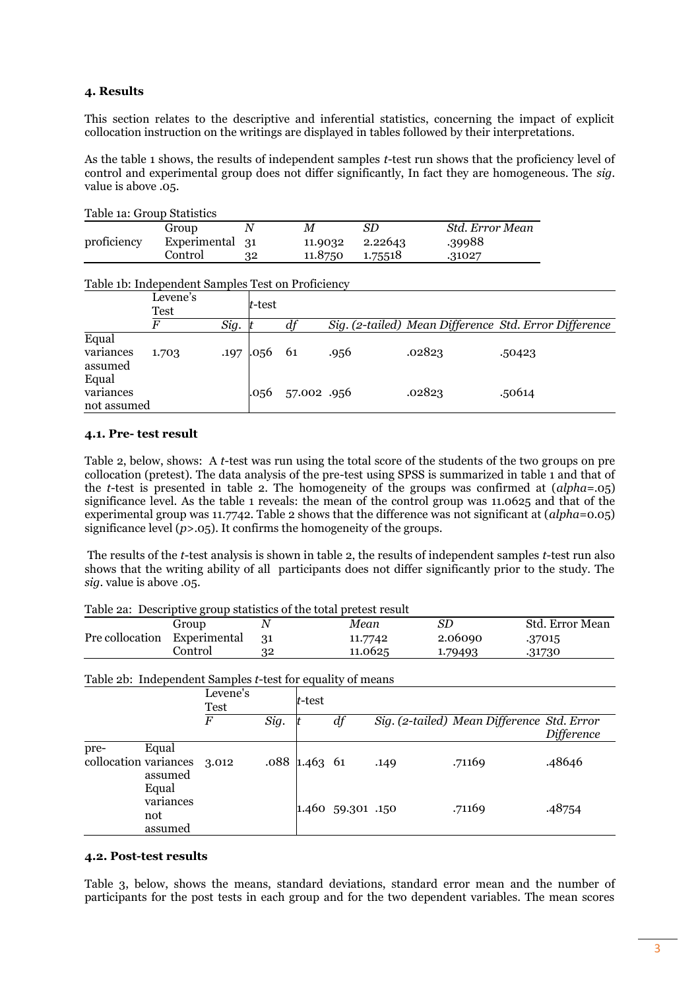## **4. Results**

This section relates to the descriptive and inferential statistics, concerning the impact of explicit collocation instruction on the writings are displayed in tables followed by their interpretations.

As the table 1 shows, the results of independent samples *t*-test run shows that the proficiency level of control and experimental group does not differ significantly, In fact they are homogeneous. The *sig.* value is above .05.

| Table 1a: Group Statistics |                 |    |         |         |                 |  |  |  |
|----------------------------|-----------------|----|---------|---------|-----------------|--|--|--|
|                            | Group           |    | M       | SD      | Std. Error Mean |  |  |  |
| proficiency                | Experimental 31 |    | 11.9032 | 2.22643 | .39988          |  |  |  |
|                            | Control         | 32 | 11.8750 | 1.75518 | .31027          |  |  |  |
|                            |                 |    |         |         |                 |  |  |  |

#### Table 1b: Independent Samples Test on Proficiency

|                                   | Levene's<br><b>Test</b> |      | t-test |            |      |        |                                                       |
|-----------------------------------|-------------------------|------|--------|------------|------|--------|-------------------------------------------------------|
|                                   |                         | Sig. |        |            |      |        | Sig. (2-tailed) Mean Difference Std. Error Difference |
| Equal<br>variances<br>assumed     | 1.703                   | .197 | .056   | 61         | .956 | .02823 | .50423                                                |
| Equal<br>variances<br>not assumed |                         |      | .056   | 57.002.956 |      | .02823 | .50614                                                |

#### **4.1. Pre- test result**

Table 2, below, shows: A *t*-test was run using the total score of the students of the two groups on pre collocation (pretest). The data analysis of the pre-test using SPSS is summarized in table 1 and that of the *t*-test is presented in table 2. The homogeneity of the groups was confirmed at (*alpha*=.05) significance level. As the table 1 reveals: the mean of the control group was 11.0625 and that of the experimental group was 11.7742. Table 2 shows that the difference was not significant at (*alpha*=0.05) significance level  $(p>0.05)$ . It confirms the homogeneity of the groups.

The results of the *t*-test analysis is shown in table 2, the results of independent samples *t*-test run also shows that the writing ability of all participants does not differ significantly prior to the study. The *sig*. value is above .05.

| Table 2a: Descriptive group statistics of the total pretest result |         |       |         |           |                 |  |  |
|--------------------------------------------------------------------|---------|-------|---------|-----------|-----------------|--|--|
|                                                                    | Group   |       | Mean    | <i>SD</i> | Std. Error Mean |  |  |
| Pre collocation Experimental                                       |         | $-21$ | 11.7742 | 2.06090   | .37015          |  |  |
|                                                                    | Control | 32    | 11.0625 | 1.79493   | .31730          |  |  |

Table 2b: Independent Samples *t*-test for equality of means

|                                     |                                      | Levene's<br>Test |      | $t$ -test     |                   |      |                                            |                   |
|-------------------------------------|--------------------------------------|------------------|------|---------------|-------------------|------|--------------------------------------------|-------------------|
|                                     |                                      | F                | Sig. |               | df                |      | Sig. (2-tailed) Mean Difference Std. Error | <b>Difference</b> |
| pre-<br>collocation variances 3.012 | Equal<br>assumed                     |                  |      | .088 1.463 61 |                   | .149 | .71169                                     | .48646            |
|                                     | Equal<br>variances<br>not<br>assumed |                  |      |               | 1.460 59.301 .150 |      | .71169                                     | .48754            |

#### **4.2. Post-test results**

Table 3, below, shows the means, standard deviations, standard error mean and the number of participants for the post tests in each group and for the two dependent variables. The mean scores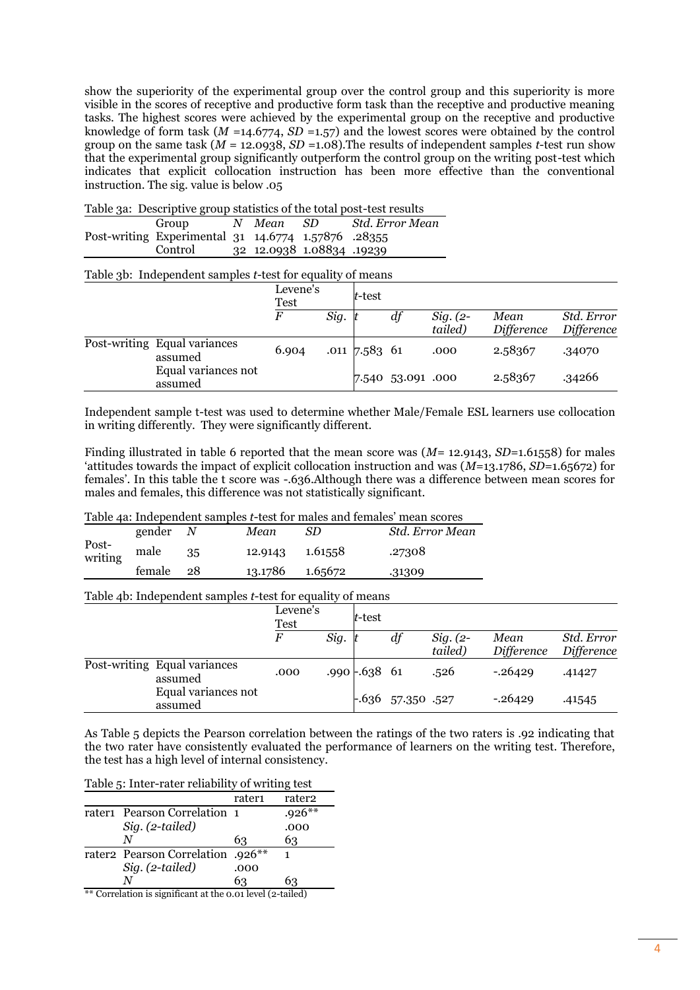show the superiority of the experimental group over the control group and this superiority is more visible in the scores of receptive and productive form task than the receptive and productive meaning tasks. The highest scores were achieved by the experimental group on the receptive and productive knowledge of form task  $(M = 14.6774, SD = 1.57)$  and the lowest scores were obtained by the control group on the same task  $(M = 12.0938, SD = 1.08)$ . The results of independent samples *t*-test run show that the experimental group significantly outperform the control group on the writing post-test which indicates that explicit collocation instruction has been more effective than the conventional instruction. The sig. value is below .05

|  |  |  |  | Table 3a: Descriptive group statistics of the total post-test results |
|--|--|--|--|-----------------------------------------------------------------------|
|--|--|--|--|-----------------------------------------------------------------------|

| Group                                               | N Mean                    | -SD | Std. Error Mean |
|-----------------------------------------------------|---------------------------|-----|-----------------|
| Post-writing Experimental 31 14.6774 1.57876 .28355 |                           |     |                 |
| Control                                             | 32 12.0938 1.08834 .19239 |     |                 |

Table 3b: Independent samples *t*-test for equality of means

|                                         | Levene's<br><b>Test</b> |      | $t$ -test       |                   |                       |                    |                                 |
|-----------------------------------------|-------------------------|------|-----------------|-------------------|-----------------------|--------------------|---------------------------------|
|                                         | $\boldsymbol{F}$        | Sig. |                 | df                | $Sig. (2-$<br>tailed) | Mean<br>Difference | <i>Std. Error</i><br>Difference |
| Post-writing Equal variances<br>assumed | 6.904                   |      | $.011$ 7.583 61 |                   | .000                  | 2.58367            | .34070                          |
| Equal variances not<br>assumed          |                         |      |                 | 7.540 53.091 .000 |                       | 2.58367            | .34266                          |

Independent sample t-test was used to determine whether Male/Female ESL learners use collocation in writing differently. They were significantly different.

Finding illustrated in table 6 reported that the mean score was (*M*= 12.9143, *SD*=1.61558) for males 'attitudes towards the impact of explicit collocation instruction and was (*M*=13.1786, *SD*=1.65672) for females'. In this table the t score was -.636.Although there was a difference between mean scores for males and females, this difference was not statistically significant.

Table 4a: Independent samples *t*-test for males and females' mean scores

|                  | gender |    | Mean    | SD      | Std. Error Mean |
|------------------|--------|----|---------|---------|-----------------|
| Post-<br>writing | male   | 35 | 12.9143 | 1.61558 | .27308          |
|                  | female | 28 | 13.1786 | 1.65672 | .31309          |
|                  |        |    |         |         |                 |

Table 4b: Independent samples *t*-test for equality of means

|                                         | Levene's<br>Test |      | t-test          |                     |                       |                           |                          |
|-----------------------------------------|------------------|------|-----------------|---------------------|-----------------------|---------------------------|--------------------------|
|                                         | F                | Sig. |                 | df                  | $Sig. (2-$<br>tailed) | Mean<br><i>Difference</i> | Std. Error<br>Difference |
| Post-writing Equal variances<br>assumed | .000             |      | $.990 - 638$ 61 |                     | .526                  | $-.26429$                 | .41427                   |
| Equal variances not<br>assumed          |                  |      |                 | $-.636$ 57.350 .527 |                       | $-0.26429$                | .41545                   |

As Table 5 depicts the Pearson correlation between the ratings of the two raters is .92 indicating that the two rater have consistently evaluated the performance of learners on the writing test. Therefore, the test has a high level of internal consistency.

| Table 5: Inter-rater reliability of writing test |               |
|--------------------------------------------------|---------------|
|                                                  | rater1 rater2 |
|                                                  |               |

|                 |                          | $.926**$                                                          |
|-----------------|--------------------------|-------------------------------------------------------------------|
| Sig. (2-tailed) |                          | .000                                                              |
| N               | 63                       | 63                                                                |
|                 |                          |                                                                   |
| Sig. (2-tailed) | .000                     |                                                                   |
| N               | 63                       | 63                                                                |
|                 | $\overline{\phantom{a}}$ | rater1 Pearson Correlation 1<br>rater2 Pearson Correlation .926** |

\*\* Correlation is significant at the 0.01 level (2-tailed)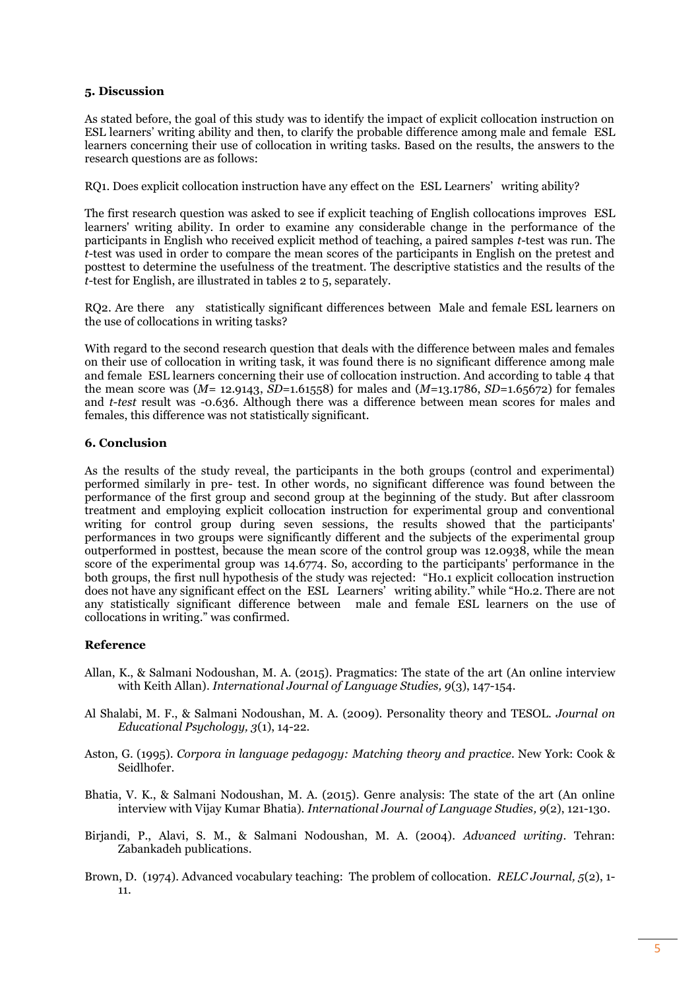## **5. Discussion**

As stated before, the goal of this study was to identify the impact of explicit collocation instruction on ESL learners' writing ability and then, to clarify the probable difference among male and female ESL learners concerning their use of collocation in writing tasks. Based on the results, the answers to the research questions are as follows:

RQ1. Does explicit collocation instruction have any effect on the ESL Learners' writing ability?

The first research question was asked to see if explicit teaching of English collocations improves ESL learners' writing ability. In order to examine any considerable change in the performance of the participants in English who received explicit method of teaching, a paired samples *t*-test was run. The *t*-test was used in order to compare the mean scores of the participants in English on the pretest and posttest to determine the usefulness of the treatment. The descriptive statistics and the results of the *t*-test for English, are illustrated in tables 2 to 5, separately.

RQ2. Are there any statistically significant differences between Male and female ESL learners on the use of collocations in writing tasks?

With regard to the second research question that deals with the difference between males and females on their use of collocation in writing task, it was found there is no significant difference among male and female ESL learners concerning their use of collocation instruction. And according to table 4 that the mean score was (*M*= 12.9143, *SD*=1.61558) for males and (*M*=13.1786, *SD*=1.65672) for females and *t-test* result was -0.636. Although there was a difference between mean scores for males and females, this difference was not statistically significant.

## **6. Conclusion**

As the results of the study reveal, the participants in the both groups (control and experimental) performed similarly in pre- test. In other words, no significant difference was found between the performance of the first group and second group at the beginning of the study. But after classroom treatment and employing explicit collocation instruction for experimental group and conventional writing for control group during seven sessions, the results showed that the participants' performances in two groups were significantly different and the subjects of the experimental group outperformed in posttest, because the mean score of the control group was 12.0938, while the mean score of the experimental group was 14.6774. So, according to the participants' performance in the both groups, the first null hypothesis of the study was rejected: "Ho.1 explicit collocation instruction does not have any significant effect on the ESL Learners' writing ability." while "Ho.2. There are not any statistically significant difference between male and female ESL learners on the use of collocations in writing." was confirmed.

# **Reference**

- Allan, K., & Salmani Nodoushan, M. A. (2015). Pragmatics: The state of the art (An online interview with Keith Allan). *International Journal of Language Studies, 9*(3), 147-154.
- Al Shalabi, M. F., & Salmani Nodoushan, M. A. (2009). Personality theory and TESOL. *Journal on Educational Psychology, 3*(1), 14-22.
- Aston, G. (1995). *Corpora in language pedagogy: Matching theory and practice*. New York: Cook & Seidlhofer.
- Bhatia, V. K., & Salmani Nodoushan, M. A. (2015). Genre analysis: The state of the art (An online interview with Vijay Kumar Bhatia). *International Journal of Language Studies, 9*(2), 121-130.
- Birjandi, P., Alavi, S. M., & Salmani Nodoushan, M. A. (2004). *Advanced writing*. Tehran: Zabankadeh publications.
- Brown, D. (1974). Advanced vocabulary teaching: The problem of collocation. *RELC Journal, 5*(2), 1- 11.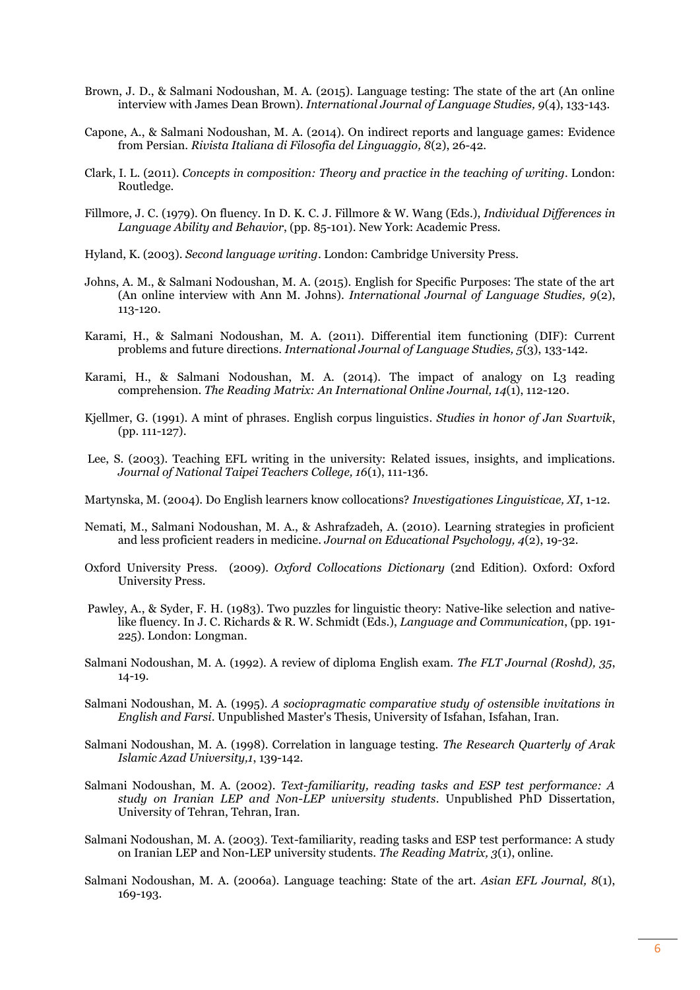- Brown, J. D., & Salmani Nodoushan, M. A. (2015). Language testing: The state of the art (An online interview with James Dean Brown). *International Journal of Language Studies, 9*(4), 133-143.
- Capone, A., & Salmani Nodoushan, M. A. (2014). On indirect reports and language games: Evidence from Persian. *Rivista Italiana di Filosofia del Linguaggio, 8*(2), 26-42.
- Clark, I. L. (2011). *Concepts in composition: Theory and practice in the teaching of writing*. London: Routledge.
- Fillmore, J. C. (1979). On fluency. In D. K. C. J. Fillmore & W. Wang (Eds.), *Individual Differences in Language Ability and Behavior*, (pp. 85-101). New York: Academic Press.
- Hyland, K. (2003). *Second language writing*. London: Cambridge University Press.
- Johns, A. M., & Salmani Nodoushan, M. A. (2015). English for Specific Purposes: The state of the art (An online interview with Ann M. Johns). *International Journal of Language Studies, 9*(2), 113-120.
- Karami, H., & Salmani Nodoushan, M. A. (2011). Differential item functioning (DIF): Current problems and future directions. *International Journal of Language Studies, 5*(3), 133-142.
- Karami, H., & Salmani Nodoushan, M. A. (2014). The impact of analogy on L3 reading comprehension. *The Reading Matrix: An International Online Journal, 14*(1), 112-120.
- Kjellmer, G. (1991). A mint of phrases. English corpus linguistics. *Studies in honor of Jan Svartvik*, (pp. 111-127).
- Lee, S. (2003). Teaching EFL writing in the university: Related issues, insights, and implications. *Journal of National Taipei Teachers College, 16*(1), 111-136.
- Martynska, M. (2004). Do English learners know collocations? *Investigationes Linguisticae, XI*, 1-12.
- Nemati, M., Salmani Nodoushan, M. A., & Ashrafzadeh, A. (2010). Learning strategies in proficient and less proficient readers in medicine. *Journal on Educational Psychology, 4*(2), 19-32.
- Oxford University Press. (2009). *Oxford Collocations Dictionary* (2nd Edition). Oxford: Oxford University Press.
- Pawley, A., & Syder, F. H. (1983). Two puzzles for linguistic theory: Native-like selection and nativelike fluency. In J. C. Richards & R. W. Schmidt (Eds.), *Language and Communication*, (pp. 191- 225). London: Longman.
- Salmani Nodoushan, M. A. (1992). A review of diploma English exam. *The FLT Journal (Roshd), 35*, 14-19.
- Salmani Nodoushan, M. A. (1995). *A sociopragmatic comparative study of ostensible invitations in English and Farsi*. Unpublished Master's Thesis, University of Isfahan, Isfahan, Iran.
- Salmani Nodoushan, M. A. (1998). Correlation in language testing. *The Research Quarterly of Arak Islamic Azad University,1*, 139-142.
- Salmani Nodoushan, M. A. (2002). *Text-familiarity, reading tasks and ESP test performance: A study on Iranian LEP and Non-LEP university students*. Unpublished PhD Dissertation, University of Tehran, Tehran, Iran.
- Salmani Nodoushan, M. A. (2003). Text-familiarity, reading tasks and ESP test performance: A study on Iranian LEP and Non-LEP university students. *The Reading Matrix, 3*(1), online.
- Salmani Nodoushan, M. A. (2006a). Language teaching: State of the art. *Asian EFL Journal, 8*(1), 169-193.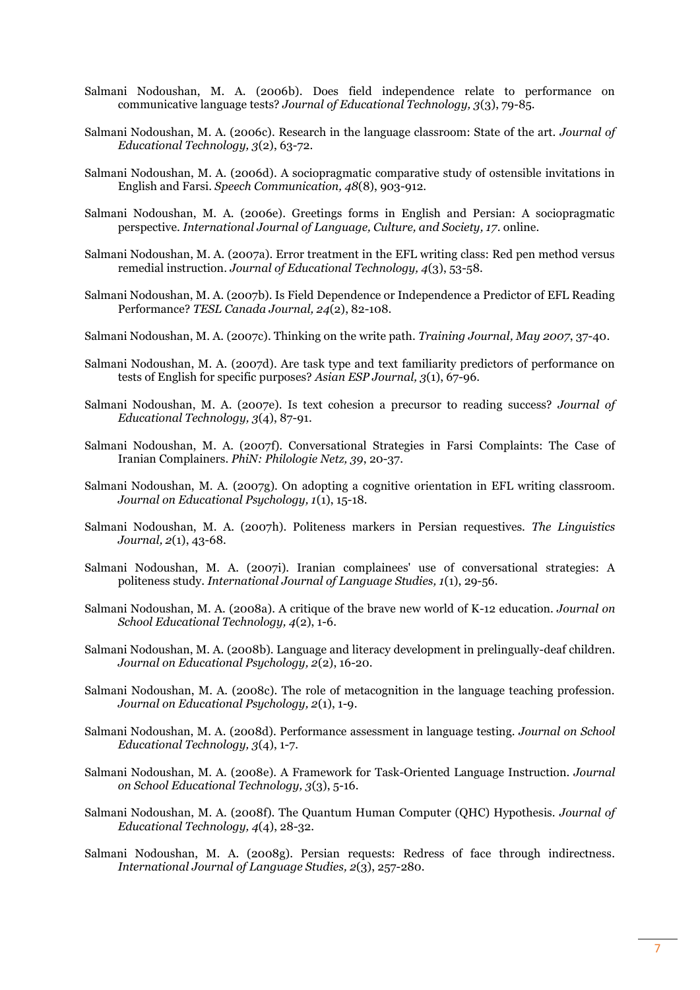- Salmani Nodoushan, M. A. (2006b). Does field independence relate to performance on communicative language tests? *Journal of Educational Technology, 3*(3), 79-85.
- Salmani Nodoushan, M. A. (2006c). Research in the language classroom: State of the art. *Journal of Educational Technology, 3*(2), 63-72.
- Salmani Nodoushan, M. A. (2006d). A sociopragmatic comparative study of ostensible invitations in English and Farsi. *Speech Communication, 48*(8), 903-912.
- Salmani Nodoushan, M. A. (2006e). Greetings forms in English and Persian: A sociopragmatic perspective. *International Journal of Language, Culture, and Society, 17*. online.
- Salmani Nodoushan, M. A. (2007a). Error treatment in the EFL writing class: Red pen method versus remedial instruction. *Journal of Educational Technology, 4*(3), 53-58.
- Salmani Nodoushan, M. A. (2007b). Is Field Dependence or Independence a Predictor of EFL Reading Performance? *TESL Canada Journal, 24*(2), 82-108.
- Salmani Nodoushan, M. A. (2007c). Thinking on the write path. *Training Journal, May 2007*, 37-40.
- Salmani Nodoushan, M. A. (2007d). Are task type and text familiarity predictors of performance on tests of English for specific purposes? *Asian ESP Journal, 3*(1), 67-96.
- Salmani Nodoushan, M. A. (2007e). Is text cohesion a precursor to reading success? *Journal of Educational Technology, 3*(4), 87-91.
- Salmani Nodoushan, M. A. (2007f). Conversational Strategies in Farsi Complaints: The Case of Iranian Complainers. *PhiN: Philologie Netz, 39*, 20-37.
- Salmani Nodoushan, M. A. (2007g). On adopting a cognitive orientation in EFL writing classroom. *Journal on Educational Psychology, 1*(1), 15-18.
- Salmani Nodoushan, M. A. (2007h). Politeness markers in Persian requestives. *The Linguistics Journal, 2*(1), 43-68.
- Salmani Nodoushan, M. A. (2007i). Iranian complainees' use of conversational strategies: A politeness study. *International Journal of Language Studies, 1*(1), 29-56.
- Salmani Nodoushan, M. A. (2008a). A critique of the brave new world of K-12 education. *Journal on School Educational Technology, 4*(2), 1-6.
- Salmani Nodoushan, M. A. (2008b). Language and literacy development in prelingually-deaf children. *Journal on Educational Psychology, 2*(2), 16-20.
- Salmani Nodoushan, M. A. (2008c). The role of metacognition in the language teaching profession. *Journal on Educational Psychology, 2*(1), 1-9.
- Salmani Nodoushan, M. A. (2008d). Performance assessment in language testing. *Journal on School Educational Technology, 3*(4), 1-7.
- Salmani Nodoushan, M. A. (2008e). A Framework for Task-Oriented Language Instruction. *Journal on School Educational Technology, 3*(3), 5-16.
- Salmani Nodoushan, M. A. (2008f). The Quantum Human Computer (QHC) Hypothesis. *Journal of Educational Technology, 4*(4), 28-32.
- Salmani Nodoushan, M. A. (2008g). Persian requests: Redress of face through indirectness. *International Journal of Language Studies, 2*(3), 257-280.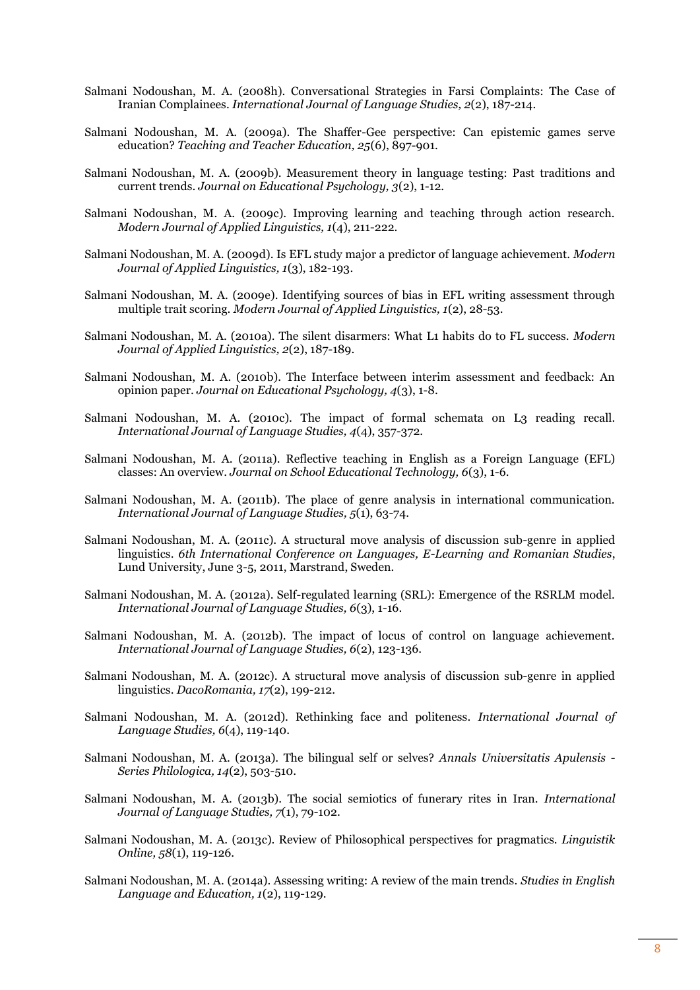- Salmani Nodoushan, M. A. (2008h). Conversational Strategies in Farsi Complaints: The Case of Iranian Complainees. *International Journal of Language Studies, 2*(2), 187-214.
- Salmani Nodoushan, M. A. (2009a). The Shaffer-Gee perspective: Can epistemic games serve education? *Teaching and Teacher Education, 25*(6), 897-901.
- Salmani Nodoushan, M. A. (2009b). Measurement theory in language testing: Past traditions and current trends. *Journal on Educational Psychology, 3*(2), 1-12.
- Salmani Nodoushan, M. A. (2009c). Improving learning and teaching through action research. *Modern Journal of Applied Linguistics, 1*(4), 211-222.
- Salmani Nodoushan, M. A. (2009d). Is EFL study major a predictor of language achievement. *Modern Journal of Applied Linguistics, 1*(3), 182-193.
- Salmani Nodoushan, M. A. (2009e). Identifying sources of bias in EFL writing assessment through multiple trait scoring. *Modern Journal of Applied Linguistics, 1*(2), 28-53.
- Salmani Nodoushan, M. A. (2010a). The silent disarmers: What L1 habits do to FL success. *Modern Journal of Applied Linguistics, 2*(2), 187-189.
- Salmani Nodoushan, M. A. (2010b). The Interface between interim assessment and feedback: An opinion paper. *Journal on Educational Psychology, 4*(3), 1-8.
- Salmani Nodoushan, M. A. (2010c). The impact of formal schemata on L3 reading recall. *International Journal of Language Studies, 4*(4), 357-372.
- Salmani Nodoushan, M. A. (2011a). Reflective teaching in English as a Foreign Language (EFL) classes: An overview. *Journal on School Educational Technology, 6*(3), 1-6.
- Salmani Nodoushan, M. A. (2011b). The place of genre analysis in international communication. *International Journal of Language Studies, 5*(1), 63-74.
- Salmani Nodoushan, M. A. (2011c). A structural move analysis of discussion sub-genre in applied linguistics. *6th International Conference on Languages, E-Learning and Romanian Studies*, Lund University, June 3-5, 2011, Marstrand, Sweden.
- Salmani Nodoushan, M. A. (2012a). Self-regulated learning (SRL): Emergence of the RSRLM model. *International Journal of Language Studies, 6*(3), 1-16.
- Salmani Nodoushan, M. A. (2012b). The impact of locus of control on language achievement. *International Journal of Language Studies, 6*(2), 123-136.
- Salmani Nodoushan, M. A. (2012c). A structural move analysis of discussion sub-genre in applied linguistics. *DacoRomania, 17*(2), 199-212.
- Salmani Nodoushan, M. A. (2012d). Rethinking face and politeness. *International Journal of Language Studies, 6*(4), 119-140.
- Salmani Nodoushan, M. A. (2013a). The bilingual self or selves? *Annals Universitatis Apulensis - Series Philologica, 14*(2), 503-510.
- Salmani Nodoushan, M. A. (2013b). The social semiotics of funerary rites in Iran. *International Journal of Language Studies, 7*(1), 79-102.
- Salmani Nodoushan, M. A. (2013c). Review of Philosophical perspectives for pragmatics. *Linguistik Online, 58*(1), 119-126.
- Salmani Nodoushan, M. A. (2014a). Assessing writing: A review of the main trends. *Studies in English Language and Education, 1*(2), 119-129.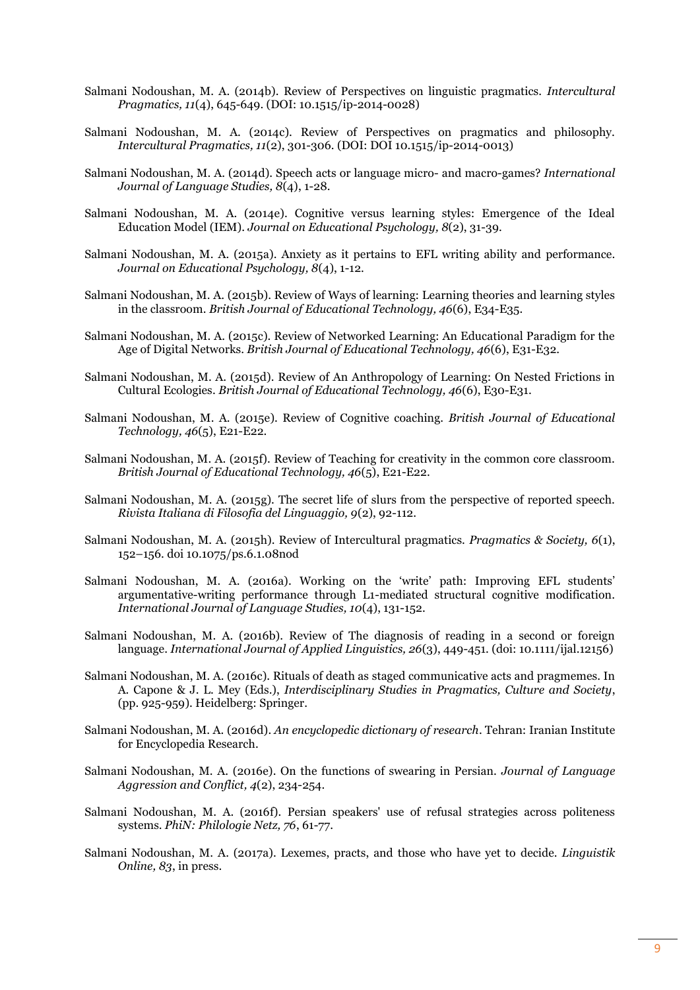- Salmani Nodoushan, M. A. (2014b). Review of Perspectives on linguistic pragmatics. *Intercultural Pragmatics, 11*(4), 645-649. (DOI: 10.1515/ip-2014-0028)
- Salmani Nodoushan, M. A. (2014c). Review of Perspectives on pragmatics and philosophy. *Intercultural Pragmatics, 11*(2), 301-306. (DOI: DOI 10.1515/ip-2014-0013)
- Salmani Nodoushan, M. A. (2014d). Speech acts or language micro- and macro-games? *International Journal of Language Studies, 8*(4), 1-28.
- Salmani Nodoushan, M. A. (2014e). Cognitive versus learning styles: Emergence of the Ideal Education Model (IEM). *Journal on Educational Psychology, 8*(2), 31-39.
- Salmani Nodoushan, M. A. (2015a). Anxiety as it pertains to EFL writing ability and performance. *Journal on Educational Psychology, 8*(4), 1-12.
- Salmani Nodoushan, M. A. (2015b). Review of Ways of learning: Learning theories and learning styles in the classroom. *British Journal of Educational Technology, 46*(6), E34-E35.
- Salmani Nodoushan, M. A. (2015c). Review of Networked Learning: An Educational Paradigm for the Age of Digital Networks. *British Journal of Educational Technology, 46*(6), E31-E32.
- Salmani Nodoushan, M. A. (2015d). Review of An Anthropology of Learning: On Nested Frictions in Cultural Ecologies. *British Journal of Educational Technology, 46*(6), E30-E31.
- Salmani Nodoushan, M. A. (2015e). Review of Cognitive coaching. *British Journal of Educational Technology, 46*(5), E21-E22.
- Salmani Nodoushan, M. A. (2015f). Review of Teaching for creativity in the common core classroom. *British Journal of Educational Technology, 46*(5), E21-E22.
- Salmani Nodoushan, M. A. (2015g). The secret life of slurs from the perspective of reported speech. *Rivista Italiana di Filosofia del Linguaggio, 9*(2), 92-112.
- Salmani Nodoushan, M. A. (2015h). Review of Intercultural pragmatics. *Pragmatics & Society, 6*(1), 152–156. doi 10.1075/ps.6.1.08nod
- Salmani Nodoushan, M. A. (2016a). Working on the 'write' path: Improving EFL students' argumentative-writing performance through L1-mediated structural cognitive modification. *International Journal of Language Studies, 10*(4), 131-152.
- Salmani Nodoushan, M. A. (2016b). Review of The diagnosis of reading in a second or foreign language. *International Journal of Applied Linguistics, 26*(3), 449-451. (doi: 10.1111/ijal.12156)
- Salmani Nodoushan, M. A. (2016c). Rituals of death as staged communicative acts and pragmemes. In A. Capone & J. L. Mey (Eds.), *Interdisciplinary Studies in Pragmatics, Culture and Society*, (pp. 925-959). Heidelberg: Springer.
- Salmani Nodoushan, M. A. (2016d). *An encyclopedic dictionary of research*. Tehran: Iranian Institute for Encyclopedia Research.
- Salmani Nodoushan, M. A. (2016e). On the functions of swearing in Persian. *Journal of Language Aggression and Conflict, 4*(2), 234-254.
- Salmani Nodoushan, M. A. (2016f). Persian speakers' use of refusal strategies across politeness systems. *PhiN: Philologie Netz, 76*, 61-77.
- Salmani Nodoushan, M. A. (2017a). Lexemes, practs, and those who have yet to decide. *Linguistik Online, 83*, in press.